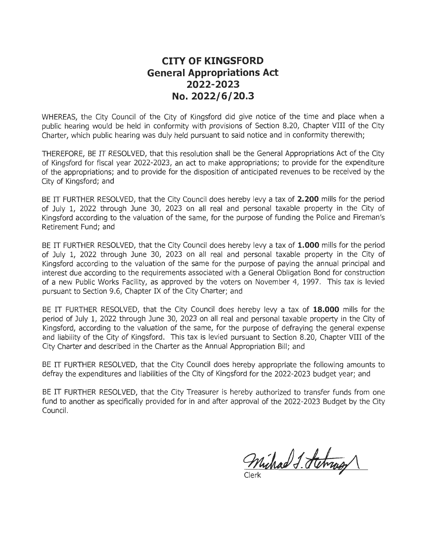#### **CITY OF KINGSFORD General Appropriations Act 2022-2023 No. 2022/6/20.3**

WHEREAS, the City Council of the City of Kingsford did give notice of the time and place when a public hearing would be held in conformity with provisions of Section 8.20, Chapter VIII of the City Charter, which public hearing was duly held pursuant to said notice and in conformity therewith;

THEREFORE, BE IT RESOLVED, that this resolution shall be the General Appropriations Act of the City of Kingsford for fiscal year 2022-2023, an act to make appropriations; to provide for the expenditure of the appropriations; and to provide for the disposition of anticipated revenues to be received by the City of Kingsford; and

BE IT FURTHER RESOLVED, that the City Council does hereby levy a tax of **2.200** mills for the period of July 1, 2022 through June 30, 2023 on all real and personal taxable property in the City of Kingsford according to the valuation of the same, for the purpose of funding the Police and Fireman's Retirement Fund; and

BE IT FURTHER RESOLVED, that the City Council does hereby levy a tax of **1.000** mills for the period of July 1, 2022 through June 30, 2023 on all real and personal taxable property in the City of Kingsford according to the valuation of the same for the purpose of paying the annual principal and interest due according to the requirements associated with a General Obligation Bond for construction of a new Public Works Facility, as approved by the voters on November 4, 1997. This tax is levied pursuant to Section 9.6, Chapter IX of the City Charter; and

BE IT FURTHER RESOLVED, that the City Council does hereby levy a tax of **18.000** mills for the period of July 1, 2022 through June 30, 2023 on all real and personal taxable property in the City of Kingsford, according to the valuation of the same, for the purpose of defraying the general expense and liability of the City of Kingsford. This tax is levied pursuant to Section 8.20, Chapter VIII of the City Charter and described in the Charter as the Annual Appropriation Bill; and

BE IT FURTHER RESOLVED, that the City Council does hereby appropriate the following amounts to defray the expenditures and liabilities of the City of Kingsford for the 2022-2023 budget year; and

BE IT FURTHER RESOLVED, that the City Treasurer is hereby authorized to transfer funds from one fund to another as specifically provided for in and after approval of the 2022-2023 Budget by the City Council.

Michael J. Stehrage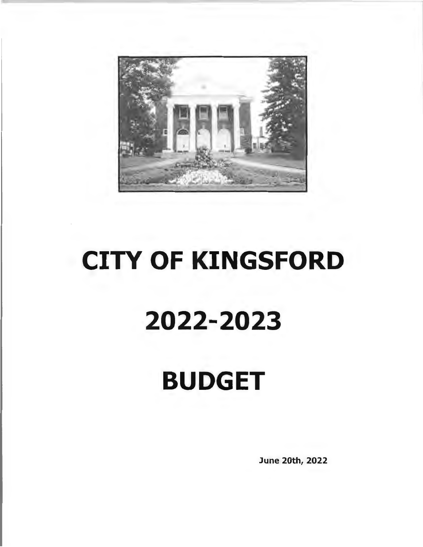

# CITY OF **KINGSFORD 2022-2023 BUDGET**

June 20th, 2022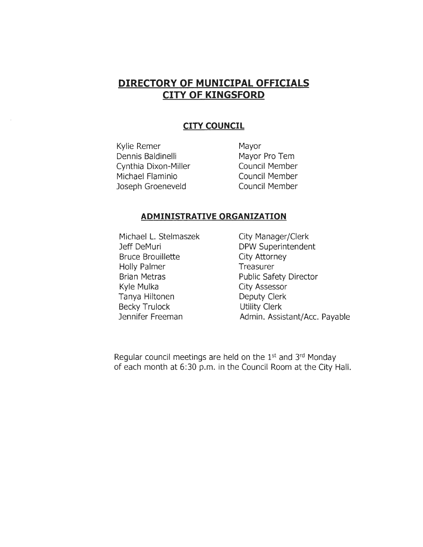#### **DIRECTORY OF MUNICIPAL OFFICIALS CITY OF KINGSFORD**

#### **CITY COUNCIL**

Kylie Remer Dennis Baldinelli Cynthia Dixon-Miller Michael Flaminio Joseph Groeneveld

Mayor Mayor Pro Tem Council Member Council Member Council Member

#### **ADMINISTRATIVE ORGANIZATION**

Michael L. Stelmaszek Jeff DeMuri Bruce Brouillette Holly Palmer Brian Metras Kyle Mulka Tanya Hiltonen Becky Trulock Jennifer Freeman

City Manager/Clerk DPW Superintendent City Attorney **Treasurer** Public Safety Director City Assessor Deputy Clerk Utility Clerk Admin. Assistant/Ace. Payable

Regular council meetings are held on the 1st and 3rd Monday of each month at 6:30 p.m. in the Council Room at the City Hall.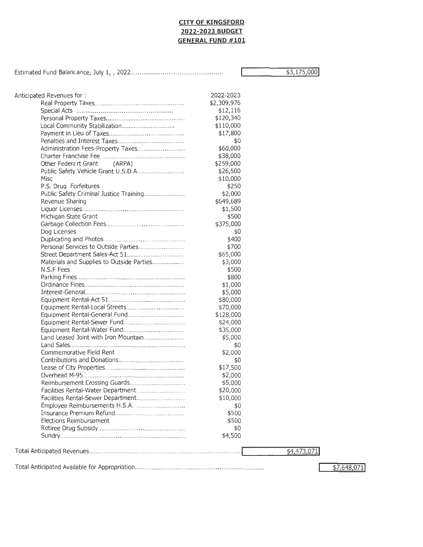#### **CITY OF KINGSFORD 2022-2023 BUDGET GENERAL FUND #101**

Estimated Fund Ba lane ance, July 1, , 2022 ......... ....... ... .... .. ........ .. ..... ....... ..

\$3,175,000!

| Anticipated Revenues for:                 | 2022-2023   |             |  |
|-------------------------------------------|-------------|-------------|--|
|                                           | \$2,309,976 |             |  |
|                                           | \$12,116    |             |  |
|                                           | \$120,340   |             |  |
|                                           | \$110,000   |             |  |
|                                           | \$17,800    |             |  |
|                                           | \$0         |             |  |
| Administration Fees-Property Taxes        | \$60,000    |             |  |
|                                           | \$38,000    |             |  |
| (ARPA)<br>Other Federart Grant            | \$259,000   |             |  |
|                                           | \$26,500    |             |  |
| Misc                                      | \$10,000    |             |  |
| P.S. Drug Forfeitures                     | \$250       |             |  |
|                                           | \$2,000     |             |  |
| Revenue Sharing                           | \$649,689   |             |  |
|                                           |             |             |  |
|                                           | \$1,500     |             |  |
| Michigan State Grant                      | \$500       |             |  |
|                                           | \$375,000   |             |  |
| Dog Licenses                              | \$0         |             |  |
|                                           | \$400       |             |  |
|                                           | \$700       |             |  |
|                                           | \$65,000    |             |  |
| Materials and Supplies to Outside Parties | \$3,000     |             |  |
| N.S.F Fees                                | \$500       |             |  |
|                                           | \$800       |             |  |
|                                           | \$1,000     |             |  |
|                                           | \$5,000     |             |  |
|                                           | \$80,000    |             |  |
|                                           | \$70,000    |             |  |
|                                           | \$128,000   |             |  |
|                                           | \$24,000    |             |  |
|                                           | \$35,000    |             |  |
| Land Leased Joint with Iron Mountain      | \$5,000     |             |  |
|                                           | \$0         |             |  |
| Commemorative Field Rent                  | \$2,000     |             |  |
|                                           |             |             |  |
|                                           | \$0         |             |  |
|                                           | \$17,500    |             |  |
|                                           | \$2,000     |             |  |
|                                           | \$5,000     |             |  |
|                                           | \$20,000    |             |  |
|                                           | \$10,000    |             |  |
|                                           | \$0         |             |  |
|                                           | \$500       |             |  |
| Elections Reimbursement                   | \$500       |             |  |
|                                           | \$0         |             |  |
|                                           | \$4,500     |             |  |
|                                           |             | \$4,473,071 |  |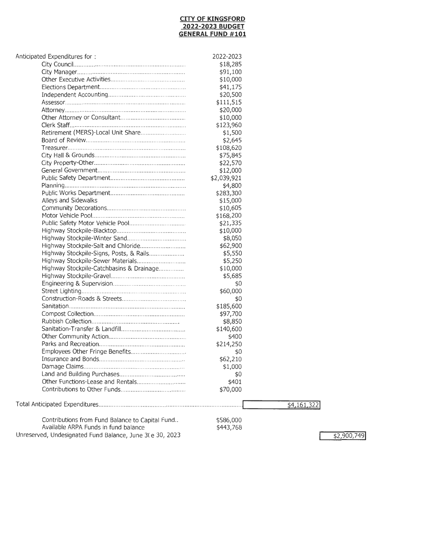#### **CITY OF KINGSFORD 2022-2023 BUDGET GENERAL FUND #101**

| Anticipated Expenditures for:                            | 2022-2023            |             |
|----------------------------------------------------------|----------------------|-------------|
|                                                          | \$18,285             |             |
|                                                          | \$91,100             |             |
|                                                          | \$10,000             |             |
|                                                          | \$41,175             |             |
|                                                          | \$20,500             |             |
|                                                          | \$111,515            |             |
|                                                          | \$20,000             |             |
|                                                          | \$10,000             |             |
|                                                          | \$123,960            |             |
| Retirement (MERS)-Local Unit Share                       | \$1,500              |             |
|                                                          | \$2,645              |             |
|                                                          | \$108,620            |             |
|                                                          | \$75,845             |             |
|                                                          | \$22,570             |             |
|                                                          | \$12,000             |             |
|                                                          | \$2,039,921          |             |
|                                                          |                      |             |
|                                                          | \$4,800<br>\$283,300 |             |
|                                                          | \$15,000             |             |
| Alleys and Sidewalks                                     |                      |             |
|                                                          | \$10,605             |             |
|                                                          | \$168,200            |             |
|                                                          | \$21,335             |             |
|                                                          | \$10,000             |             |
|                                                          | \$8,050              |             |
|                                                          | \$62,900             |             |
| Highway Stockpile-Signs, Posts, & Rails                  | \$5,550              |             |
|                                                          | \$5,250              |             |
| Highway Stockpile-Catchbasins & Drainage                 | \$10,000             |             |
|                                                          | \$5,685              |             |
|                                                          | \$0                  |             |
|                                                          | \$60,000             |             |
|                                                          | \$0                  |             |
|                                                          | \$185,600            |             |
|                                                          | \$97,700             |             |
|                                                          | \$8,850              |             |
|                                                          | \$140,600            |             |
|                                                          | \$400                |             |
|                                                          | \$214,250            |             |
| Employees Other Fringe Benefits                          | \$0                  |             |
|                                                          | \$62,210             |             |
|                                                          | \$1,000              |             |
|                                                          | \$0                  |             |
|                                                          | \$401                |             |
|                                                          | \$70,000             |             |
|                                                          |                      | \$4,161,322 |
| Contributions from Fund Balance to Capital Fund          | \$586,000            |             |
| Available ARPA Funds in fund balance                     | \$443,768            |             |
| Unreserved, Undesignated Fund Balance, June 3(e 30, 2023 |                      |             |
|                                                          |                      |             |

\$2,900,749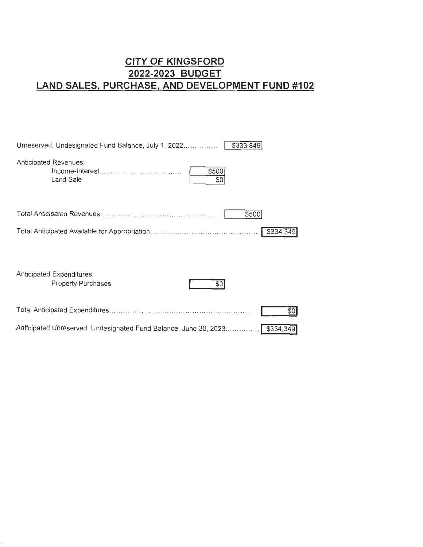### **CITY OF KINGSFORD 2022-2023 BUDGET LAND SALES, PURCHASE, AND DEVELOPMENT FUND #102**

| \$333,849<br>Unreserved, Undesignated Fund Balance, July 1, 2022              |
|-------------------------------------------------------------------------------|
| Anticipated Revenues.<br>\$500<br>Land Sale<br>\$0                            |
| \$500                                                                         |
| \$334,349                                                                     |
| Anticipated Expenditures:<br><b>Property Purchases</b><br>SO                  |
| \$0                                                                           |
| Anticipated Unreserved, Undesignated Fund Balance, June 30, 2023<br>\$334,349 |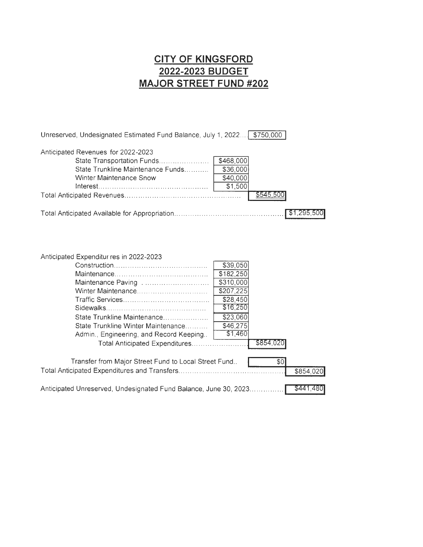### **CITY OF KINGSFORD 2022-2023 BUDGET MAJOR STREET FUND #202**

| Unreserved, Undesignated Estimated Fund Balance, July 1, 2022 \$750,000 |           |           |  |
|-------------------------------------------------------------------------|-----------|-----------|--|
| Anticipated Revenues for 2022-2023                                      |           |           |  |
| State Transportation Funds                                              | \$468,000 |           |  |
| State Trunkline Maintenance Funds                                       | \$36,000  |           |  |
| Winter Maintenance Snow                                                 | \$40,000  |           |  |
|                                                                         | \$1,500   |           |  |
|                                                                         |           | \$545.500 |  |
|                                                                         |           |           |  |
|                                                                         |           |           |  |

Anticipated Expenditur res in 2022-2023

|                                                                  | \$39,050  |           |           |
|------------------------------------------------------------------|-----------|-----------|-----------|
|                                                                  | \$182,250 |           |           |
|                                                                  | \$310,000 |           |           |
|                                                                  | \$207,225 |           |           |
|                                                                  | \$28,450  |           |           |
|                                                                  | \$16,250  |           |           |
| State Trunkline Maintenance                                      | \$23,060  |           |           |
| State Trunkline Winter Maintenance                               | \$46,275  |           |           |
| Admin., Engineering, and Record Keeping                          | \$1,460   |           |           |
| Total Anticipated Expenditures                                   |           | \$854,020 |           |
|                                                                  |           |           |           |
| Transfer from Major Street Fund to Local Street Fund             |           | \$0       |           |
|                                                                  |           |           | \$854,020 |
| Anticipated Unreserved, Undesignated Fund Balance, June 30, 2023 |           |           | \$441,480 |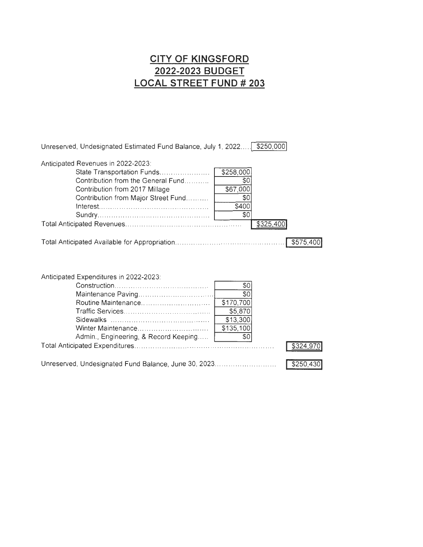### **CITY OF KINGSFORD 2022-2023 BUDGET LOCAL STREET FUND # 203**

| Unreserved, Undesignated Estimated Fund Balance, July 1, 2022                                                                                                                   |                                                                                | \$250,000 |
|---------------------------------------------------------------------------------------------------------------------------------------------------------------------------------|--------------------------------------------------------------------------------|-----------|
| Anticipated Revenues in 2022-2023:<br>State Transportation Funds<br>Contribution from the General Fund<br>Contribution from 2017 Millage<br>Contribution from Major Street Fund | \$258,000<br>\$0<br>\$67,000<br>\$0<br>\$400<br>\$0                            | \$325,400 |
|                                                                                                                                                                                 |                                                                                |           |
|                                                                                                                                                                                 |                                                                                |           |
| Anticipated Expenditures in 2022-2023:<br>Routine Maintenance<br>Winter Maintenance<br>Admin., Engineering, & Record Keeping                                                    | \$0<br>$\overline{50}$<br>\$170,700<br>\$5,870<br>\$13,300<br>\$135,100<br>\$0 |           |

Unreserved, Undesignated Fund Balance, June 30, 2023............................  $5250,430$ 

 $$324,970$ 

Total Anticipated Expenditures ... ....... ........... ............ ..... .... ..... .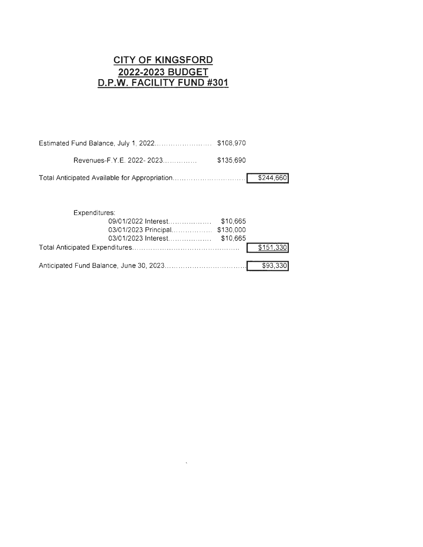#### **CITY OF KINGSFORD 2022-2023 BUDGET D.P.W. FACILITY FUND #301**

| \$135.690 |  |
|-----------|--|
|           |  |

| Expenditures:                  |  |
|--------------------------------|--|
|                                |  |
| 03/01/2023 Principal \$130,000 |  |
|                                |  |
|                                |  |
|                                |  |

 $\mathcal{L}(\mathbf{x})$  and  $\mathcal{L}(\mathbf{x})$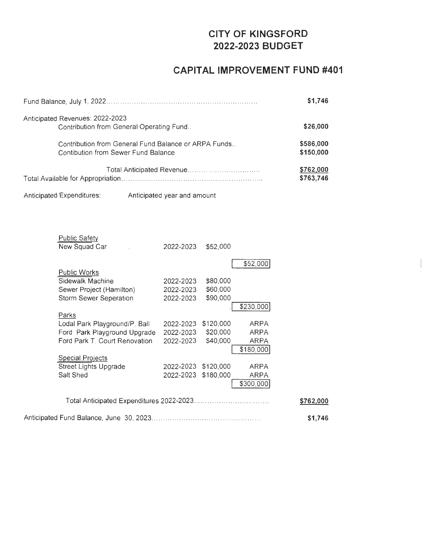#### **CITY OF KINGSFORD 2022-2023 BUDGET**

#### **CAPITAL IMPROVEMENT FUND #401**

|                                                                             | \$1,746   |
|-----------------------------------------------------------------------------|-----------|
| Anticipated Revenues: 2022-2023<br>Contribution from General Operating Fund | \$26,000  |
| Contribution from General Fund Balance or ARPA Funds                        | \$586,000 |
| Contibution from Sewer Fund Balance                                         | \$150,000 |
|                                                                             | \$762,000 |
|                                                                             | \$763,746 |

Anticipated Expenditures: Anticipated year and amount

| <b>Public Safety</b>          |           |           |             |           |
|-------------------------------|-----------|-----------|-------------|-----------|
| New Squad Car                 | 2022-2023 | \$52,000  |             |           |
|                               |           |           |             |           |
|                               |           |           | \$52,000    |           |
| <b>Public Works</b>           |           |           |             |           |
| Sidewalk Machine              | 2022-2023 | \$80,000  |             |           |
| Sewer Project (Hamilton)      | 2022-2023 | \$60,000  |             |           |
| Storm Sewer Seperation        | 2022-2023 | \$90,000  |             |           |
|                               |           |           | \$230,000   |           |
| Parks                         |           |           |             |           |
| Lodal Park Playground/P. Ball | 2022-2023 | \$120,000 | ARPA        |           |
| Ford Park Playground Upgrade  | 2022-2023 | \$20,000  | <b>ARPA</b> |           |
| Ford Park T. Court Renovation | 2022-2023 | \$40,000  | ARPA        |           |
|                               |           |           | \$180,000   |           |
| <b>Special Projects</b>       |           |           |             |           |
| Street Lights Upgrade         | 2022-2023 | \$120,000 | ARPA        |           |
| Salt Shed                     | 2022-2023 | \$180,000 | ARPA        |           |
|                               |           |           | \$300,000   |           |
|                               |           |           |             |           |
|                               |           |           |             | \$762,000 |
|                               |           |           |             |           |
|                               |           |           |             | \$1,746   |
|                               |           |           |             |           |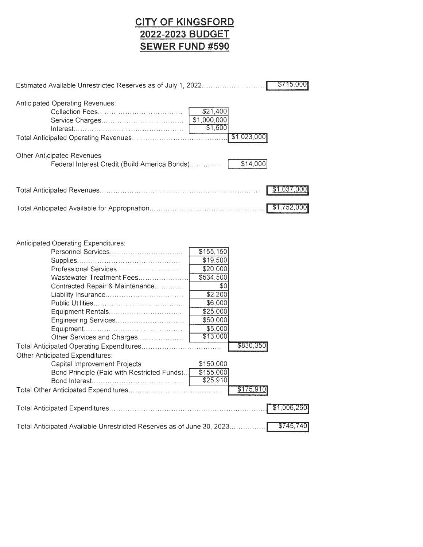## **CITY OF KINGSFORD 2022-2023 BUDGET SEWER FUND #590**

| \$715,000<br>Estimated Available Unrestricted Reserves as of July 1, 2022                                                                                                                                                                                                                                       |
|-----------------------------------------------------------------------------------------------------------------------------------------------------------------------------------------------------------------------------------------------------------------------------------------------------------------|
| Anticipated Operating Revenues:<br>\$21,400<br>\$1,000,000<br>\$1,600<br>\$1,023,000                                                                                                                                                                                                                            |
| Other Anticipated Revenues                                                                                                                                                                                                                                                                                      |
| \$14,000<br>Federal Interest Credit (Build America Bonds)                                                                                                                                                                                                                                                       |
| \$1,037,000                                                                                                                                                                                                                                                                                                     |
| \$1,752,000                                                                                                                                                                                                                                                                                                     |
| Anticipated Operating Expenditures:<br>Personnel Services<br>\$155, 150<br>\$19,500<br>\$20,000<br>Professional Services<br>\$534,500<br>Wastewater Treatment Fees<br>Contracted Repair & Maintenance<br>\$0<br>\$2,200<br>\$6,000<br>\$25,000<br>\$50,000<br>\$5,000<br>\$13,000<br>Other Services and Charges |
| \$830,350<br>Other Anticipated Expenditures:                                                                                                                                                                                                                                                                    |
| Capital Improvement Projects<br>\$150,000<br>\$155,000<br>Bond Principle (Paid with Restricted Funds)<br>\$25,910                                                                                                                                                                                               |
| \$175,910                                                                                                                                                                                                                                                                                                       |
| \$1,006,260                                                                                                                                                                                                                                                                                                     |
| \$745,740<br>Total Anticipated Available Unrestricted Reserves as of June 30, 2023                                                                                                                                                                                                                              |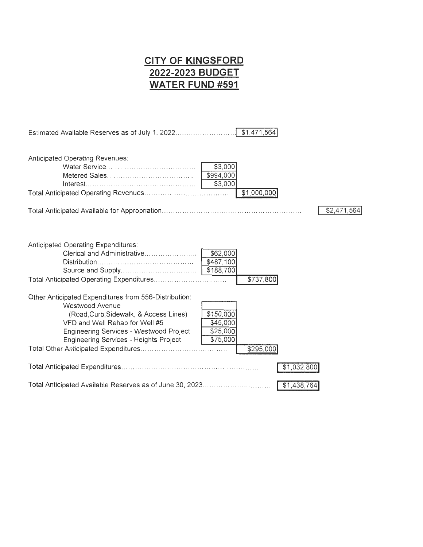## **CITY OF KINGSFORD 2022-2023 BUDGET WATER FUND #591**

| \$1,471,564                                                                                                                                                                                                                                                                                                    |
|----------------------------------------------------------------------------------------------------------------------------------------------------------------------------------------------------------------------------------------------------------------------------------------------------------------|
| Anticipated Operating Revenues:<br>\$3,000<br>\$994,000<br>\$3,000<br>\$1,000,000                                                                                                                                                                                                                              |
| \$2,471,564                                                                                                                                                                                                                                                                                                    |
| Anticipated Operating Expenditures:<br>\$62,000<br>\$487,100<br>\$188,700<br>\$737,800                                                                                                                                                                                                                         |
| Other Anticipated Expenditures from 556-Distribution:<br>Westwood Avenue<br>\$150,000<br>(Road, Curb, Sidewalk, & Access Lines)<br>\$45,000<br>VFD and Well Rehab for Well #5<br>Engineering Services - Westwood Project<br>\$25,000<br>\$75,000<br><b>Engineering Services - Heights Project</b><br>\$295,000 |
| \$1,032,800                                                                                                                                                                                                                                                                                                    |
| \$1,438,764                                                                                                                                                                                                                                                                                                    |